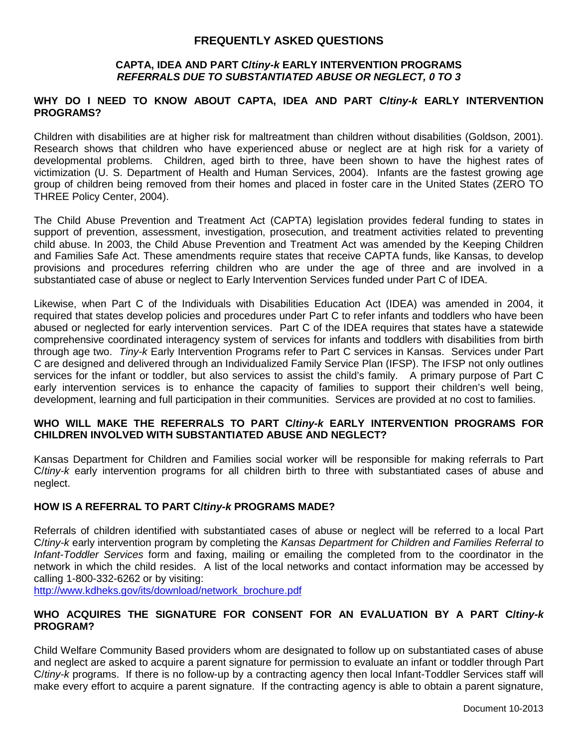# **FREQUENTLY ASKED QUESTIONS**

#### **CAPTA, IDEA AND PART C/***tiny-k* **EARLY INTERVENTION PROGRAMS** *REFERRALS DUE TO SUBSTANTIATED ABUSE OR NEGLECT, 0 TO 3*

#### **WHY DO I NEED TO KNOW ABOUT CAPTA, IDEA AND PART C/***tiny-k* **EARLY INTERVENTION PROGRAMS?**

Children with disabilities are at higher risk for maltreatment than children without disabilities (Goldson, 2001). Research shows that children who have experienced abuse or neglect are at high risk for a variety of developmental problems. Children, aged birth to three, have been shown to have the highest rates of victimization (U. S. Department of Health and Human Services, 2004). Infants are the fastest growing age group of children being removed from their homes and placed in foster care in the United States (ZERO TO THREE Policy Center, 2004).

The Child Abuse Prevention and Treatment Act (CAPTA) legislation provides federal funding to states in support of prevention, assessment, investigation, prosecution, and treatment activities related to preventing child abuse. In 2003, the Child Abuse Prevention and Treatment Act was amended by the Keeping Children and Families Safe Act. These amendments require states that receive CAPTA funds, like Kansas, to develop provisions and procedures referring children who are under the age of three and are involved in a substantiated case of abuse or neglect to Early Intervention Services funded under Part C of IDEA.

Likewise, when Part C of the Individuals with Disabilities Education Act (IDEA) was amended in 2004, it required that states develop policies and procedures under Part C to refer infants and toddlers who have been abused or neglected for early intervention services. Part C of the IDEA requires that states have a statewide comprehensive coordinated interagency system of services for infants and toddlers with disabilities from birth through age two. *Tiny-k* Early Intervention Programs refer to Part C services in Kansas. Services under Part C are designed and delivered through an Individualized Family Service Plan (IFSP). The IFSP not only outlines services for the infant or toddler, but also services to assist the child's family. A primary purpose of Part C early intervention services is to enhance the capacity of families to support their children's well being, development, learning and full participation in their communities. Services are provided at no cost to families.

#### **WHO WILL MAKE THE REFERRALS TO PART C/***tiny-k* **EARLY INTERVENTION PROGRAMS FOR CHILDREN INVOLVED WITH SUBSTANTIATED ABUSE AND NEGLECT?**

Kansas Department for Children and Families social worker will be responsible for making referrals to Part C/*tiny-k* early intervention programs for all children birth to three with substantiated cases of abuse and neglect.

## **HOW IS A REFERRAL TO PART C/***tiny-k* **PROGRAMS MADE?**

Referrals of children identified with substantiated cases of abuse or neglect will be referred to a local Part C/*tiny-k* early intervention program by completing the *Kansas Department for Children and Families Referral to Infant-Toddler Services* form and faxing, mailing or emailing the completed from to the coordinator in the network in which the child resides. A list of the local networks and contact information may be accessed by calling 1-800-332-6262 or by visiting:

[http://www.kdheks.gov/its/download/network\\_brochure.pdf](http://www.kdheks.gov/its/download/network_brochure.pdf)

#### **WHO ACQUIRES THE SIGNATURE FOR CONSENT FOR AN EVALUATION BY A PART C/***tiny-k* **PROGRAM?**

Child Welfare Community Based providers whom are designated to follow up on substantiated cases of abuse and neglect are asked to acquire a parent signature for permission to evaluate an infant or toddler through Part C/*tiny-k* programs. If there is no follow-up by a contracting agency then local Infant-Toddler Services staff will make every effort to acquire a parent signature. If the contracting agency is able to obtain a parent signature,